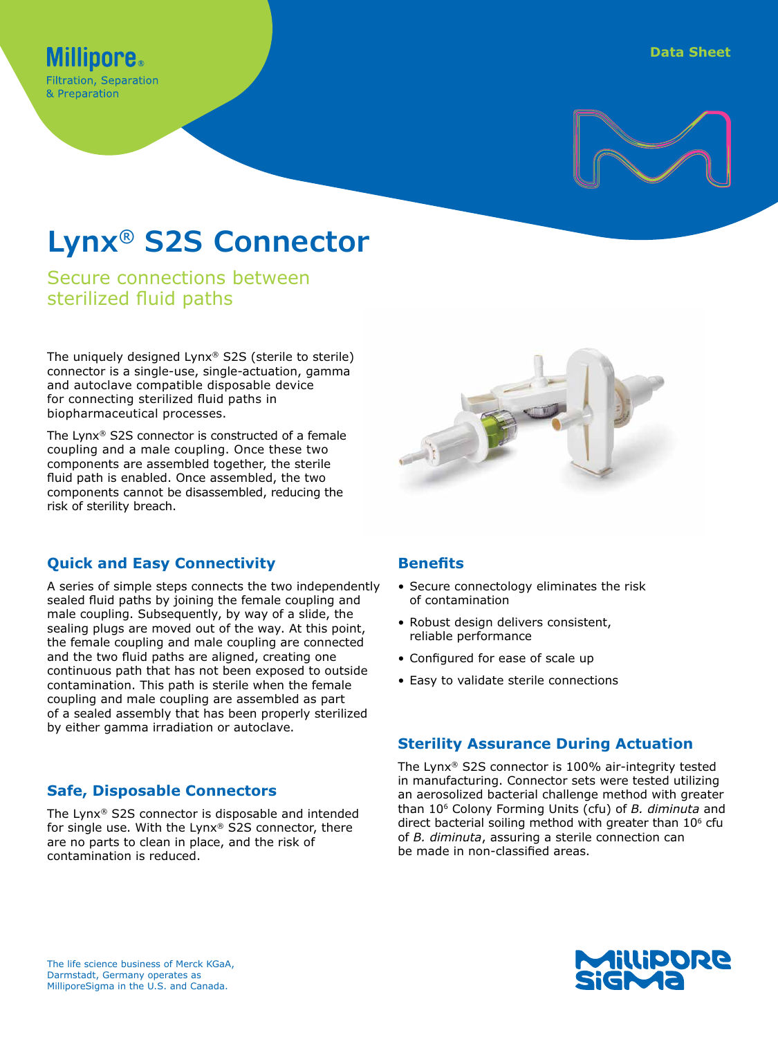

# **Lynx® S2S Connector**

Secure connections between sterilized fluid paths

**Filtration, Separation** & Preparation

The uniquely designed Lynx® S2S (sterile to sterile) connector is a single-use, single-actuation, gamma and autoclave compatible disposable device for connecting sterilized fluid paths in biopharmaceutical processes.

The Lynx® S2S connector is constructed of a female coupling and a male coupling. Once these two components are assembled together, the sterile fluid path is enabled. Once assembled, the two components cannot be disassembled, reducing the risk of sterility breach.

## **Quick and Easy Connectivity**

A series of simple steps connects the two independently sealed fluid paths by joining the female coupling and male coupling. Subsequently, by way of a slide, the sealing plugs are moved out of the way. At this point, the female coupling and male coupling are connected and the two fluid paths are aligned, creating one continuous path that has not been exposed to outside contamination. This path is sterile when the female coupling and male coupling are assembled as part of a sealed assembly that has been properly sterilized by either gamma irradiation or autoclave.

## **Safe, Disposable Connectors**

The Lynx® S2S connector is disposable and intended for single use. With the Lynx® S2S connector, there are no parts to clean in place, and the risk of contamination is reduced.

## **Benefits**

- Secure connectology eliminates the risk of contamination
- Robust design delivers consistent, reliable performance
- Configured for ease of scale up
- Easy to validate sterile connections

## **Sterility Assurance During Actuation**

The Lynx® S2S connector is 100% air-integrity tested in manufacturing. Connector sets were tested utilizing an aerosolized bacterial challenge method with greater than 106 Colony Forming Units (cfu) of *B. diminuta* and direct bacterial soiling method with greater than  $10<sup>6</sup>$  cfu of *B. diminuta*, assuring a sterile connection can be made in non-classified areas.

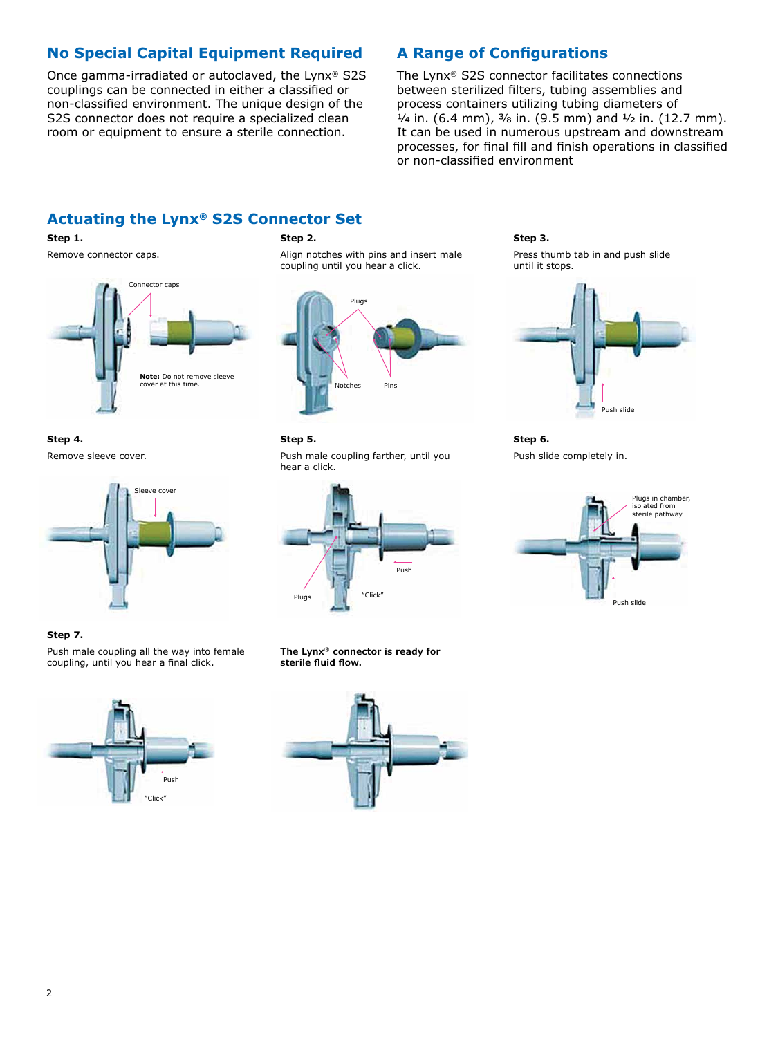## **No Special Capital Equipment Required**

Once gamma-irradiated or autoclaved, the Lynx® S2S couplings can be connected in either a classified or non-classified environment. The unique design of the S2S connector does not require a specialized clean room or equipment to ensure a sterile connection.

## **A Range of Configurations**

The Lynx® S2S connector facilitates connections between sterilized filters, tubing assemblies and process containers utilizing tubing diameters of  $\frac{1}{4}$  in. (6.4 mm),  $\frac{3}{8}$  in. (9.5 mm) and  $\frac{1}{2}$  in. (12.7 mm). It can be used in numerous upstream and downstream processes, for final fill and finish operations in classified or non-classified environment

## **Actuating the Lynx® S2S Connector Set**

#### **Step 1.**

Remove connector caps.



**Step 4.** Remove sleeve cover.



#### **Step 7.**

Push male coupling all the way into female coupling, until you hear a final click.



#### **Step 2.**

Align notches with pins and insert male coupling until you hear a click.



#### **Step 5.**

Push male coupling farther, until you hear a click.



**The Lynx**® **connector is ready for sterile fluid flow.**



#### **Step 3.**

Press thumb tab in and push slide until it stops.



**Step 6.** Push slide completely in.

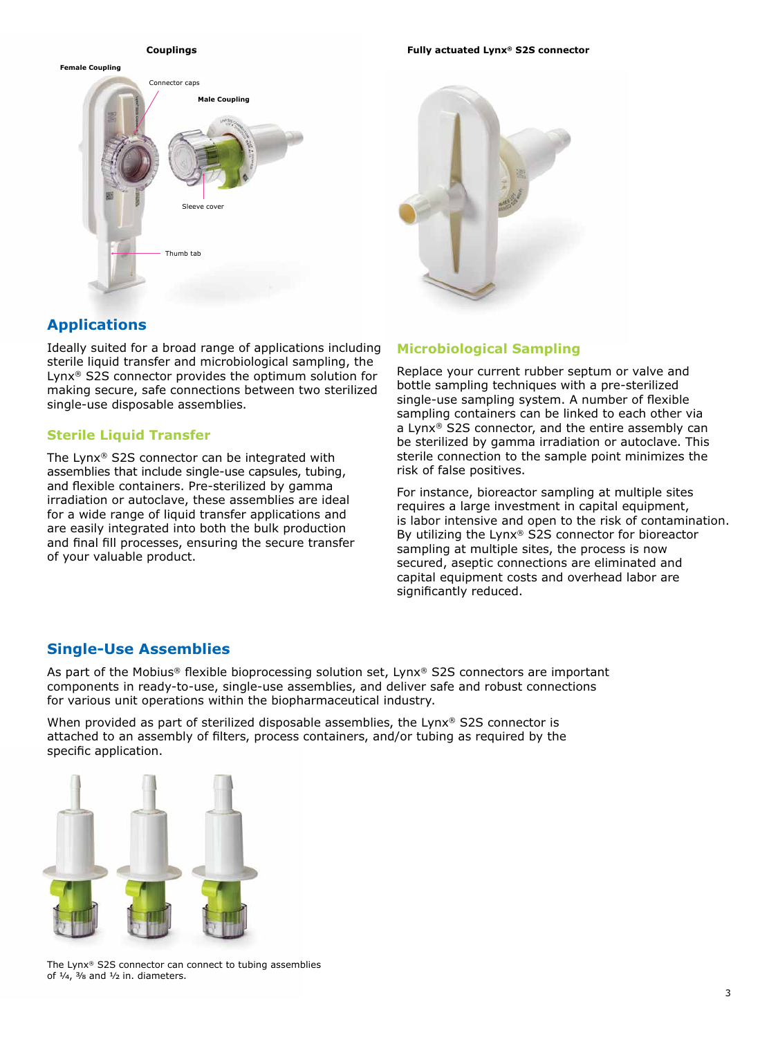

#### **Couplings Fully actuated Lynx® S2S connector**



## **Applications**

Ideally suited for a broad range of applications including sterile liquid transfer and microbiological sampling, the Lynx® S2S connector provides the optimum solution for making secure, safe connections between two sterilized single-use disposable assemblies.

#### **Sterile Liquid Transfer**

The Lynx® S2S connector can be integrated with assemblies that include single-use capsules, tubing, and flexible containers. Pre-sterilized by gamma irradiation or autoclave, these assemblies are ideal for a wide range of liquid transfer applications and are easily integrated into both the bulk production and final fill processes, ensuring the secure transfer of your valuable product.

#### **Microbiological Sampling**

Replace your current rubber septum or valve and bottle sampling techniques with a pre-sterilized single-use sampling system. A number of flexible sampling containers can be linked to each other via a Lynx® S2S connector, and the entire assembly can be sterilized by gamma irradiation or autoclave. This sterile connection to the sample point minimizes the risk of false positives.

For instance, bioreactor sampling at multiple sites requires a large investment in capital equipment, is labor intensive and open to the risk of contamination. By utilizing the Lynx® S2S connector for bioreactor sampling at multiple sites, the process is now secured, aseptic connections are eliminated and capital equipment costs and overhead labor are significantly reduced.

### **Single-Use Assemblies**

As part of the Mobius<sup>®</sup> flexible bioprocessing solution set, Lynx<sup>®</sup> S2S connectors are important components in ready-to-use, single-use assemblies, and deliver safe and robust connections for various unit operations within the biopharmaceutical industry.

When provided as part of sterilized disposable assemblies, the Lynx<sup>®</sup> S2S connector is attached to an assembly of filters, process containers, and/or tubing as required by the specific application.



The Lynx® S2S connector can connect to tubing assemblies of  $\frac{1}{4}$ ,  $\frac{3}{8}$  and  $\frac{1}{2}$  in. diameters.